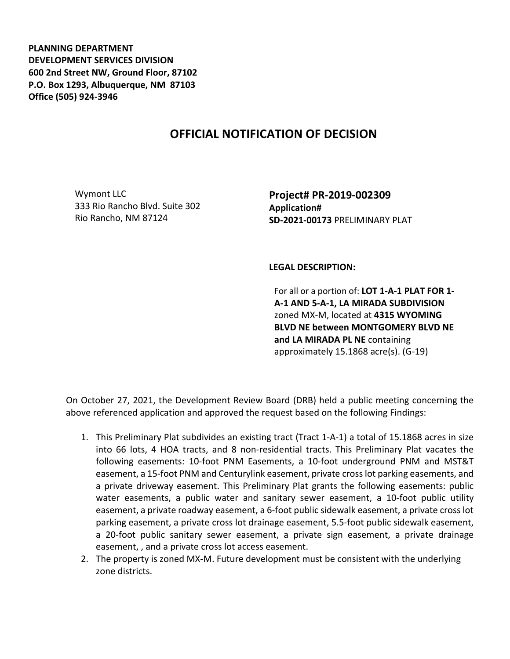**PLANNING DEPARTMENT DEVELOPMENT SERVICES DIVISION 600 2nd Street NW, Ground Floor, 87102 P.O. Box 1293, Albuquerque, NM 87103 Office (505) 924-3946** 

## **OFFICIAL NOTIFICATION OF DECISION**

Wymont LLC 333 Rio Rancho Blvd. Suite 302 Rio Rancho, NM 87124

**Project# PR-2019-002309 Application# SD-2021-00173** PRELIMINARY PLAT

## **LEGAL DESCRIPTION:**

For all or a portion of: **LOT 1-A-1 PLAT FOR 1- A-1 AND 5-A-1, LA MIRADA SUBDIVISION**  zoned MX-M, located at **4315 WYOMING BLVD NE between MONTGOMERY BLVD NE and LA MIRADA PL NE** containing approximately 15.1868 acre(s). (G-19)

On October 27, 2021, the Development Review Board (DRB) held a public meeting concerning the above referenced application and approved the request based on the following Findings:

- 1. This Preliminary Plat subdivides an existing tract (Tract 1-A-1) a total of 15.1868 acres in size into 66 lots, 4 HOA tracts, and 8 non-residential tracts. This Preliminary Plat vacates the following easements: 10-foot PNM Easements, a 10-foot underground PNM and MST&T easement, a 15-foot PNM and Centurylink easement, private cross lot parking easements, and a private driveway easement. This Preliminary Plat grants the following easements: public water easements, a public water and sanitary sewer easement, a 10-foot public utility easement, a private roadway easement, a 6-foot public sidewalk easement, a private cross lot parking easement, a private cross lot drainage easement, 5.5-foot public sidewalk easement, a 20-foot public sanitary sewer easement, a private sign easement, a private drainage easement, , and a private cross lot access easement.
- 2. The property is zoned MX-M. Future development must be consistent with the underlying zone districts.